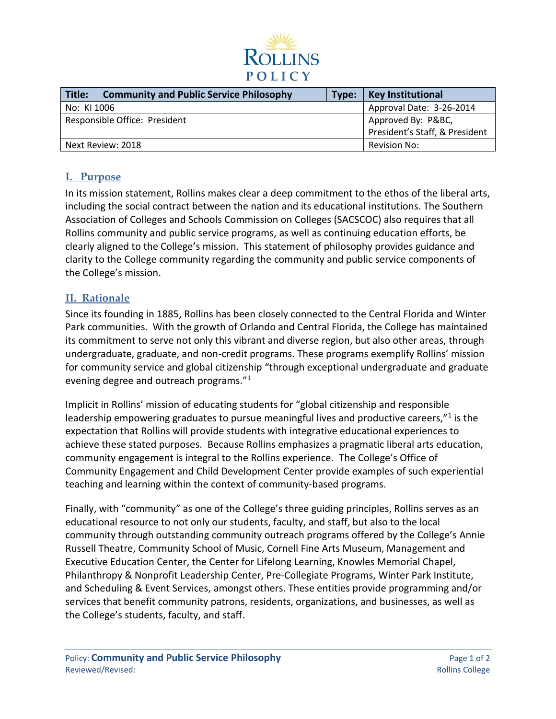

| Title:                        | <b>Community and Public Service Philosophy</b> | Type:                                                | <b>Key Institutional</b> |
|-------------------------------|------------------------------------------------|------------------------------------------------------|--------------------------|
| No: KI 1006                   |                                                |                                                      | Approval Date: 3-26-2014 |
| Responsible Office: President |                                                | Approved By: P&BC,<br>President's Staff, & President |                          |
| Next Review: 2018             |                                                |                                                      | Revision No:             |

### **I. Purpose**

In its mission statement, Rollins makes clear a deep commitment to the ethos of the liberal arts, including the social contract between the nation and its educational institutions. The Southern Association of Colleges and Schools Commission on Colleges (SACSCOC) also requires that all Rollins community and public service programs, as well as continuing education efforts, be clearly aligned to the College's mission. This statement of philosophy provides guidance and clarity to the College community regarding the community and public service components of the College's mission.

#### **II. Rationale**

Since its founding in 1885, Rollins has been closely connected to the Central Florida and Winter Park communities. With the growth of Orlando and Central Florida, the College has maintained its commitment to serve not only this vibrant and diverse region, but also other areas, through undergraduate, graduate, and non-credit programs. These programs exemplify Rollins' mission for community service and global citizenship "through exceptional undergraduate and graduate evening degree and outreach programs."<sup>1</sup>

Implicit in Rollins' mission of educating students for "global citizenship and responsible leadership empowering graduates to pursue meaningful lives and productive careers,"<sup>1</sup> is the expectation that Rollins will provide students with integrative educational experiences to achieve these stated purposes. Because Rollins emphasizes a pragmatic liberal arts education, community engagement is integral to the Rollins experience. The College's Office of Community Engagement and Child Development Center provide examples of such experiential teaching and learning within the context of community-based programs.

Finally, with "community" as one of the College's three guiding principles, Rollins serves as an educational resource to not only our students, faculty, and staff, but also to the local community through outstanding community outreach programs offered by the College's Annie Russell Theatre, Community School of Music, Cornell Fine Arts Museum, Management and Executive Education Center, the Center for Lifelong Learning, Knowles Memorial Chapel, Philanthropy & Nonprofit Leadership Center, Pre-Collegiate Programs, Winter Park Institute, and Scheduling & Event Services, amongst others. These entities provide programming and/or services that benefit community patrons, residents, organizations, and businesses, as well as the College's students, faculty, and staff.